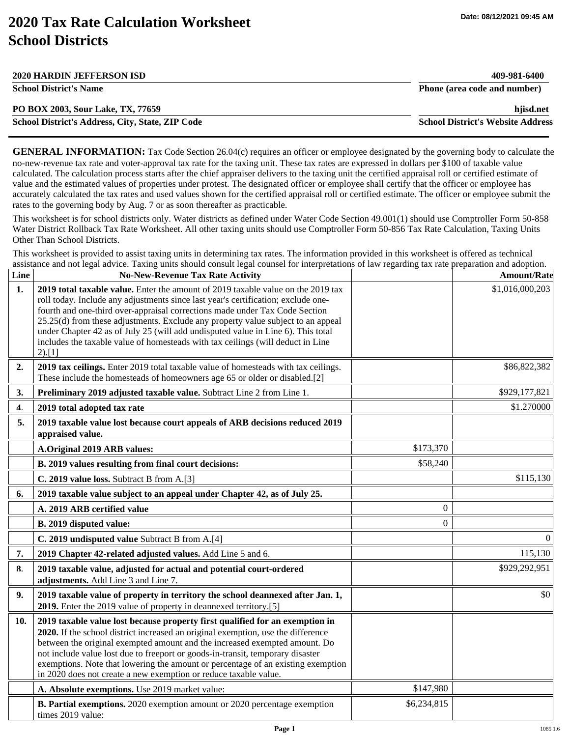## **2020 Tax Rate Calculation Worksheet School Districts**

| <b>2020 HARDIN JEFFERSON ISD</b>                 | 409-981-6400                             |
|--------------------------------------------------|------------------------------------------|
| <b>School District's Name</b>                    | Phone (area code and number)             |
| PO BOX 2003, Sour Lake, TX, 77659                | hjisd.net                                |
| School District's Address, City, State, ZIP Code | <b>School District's Website Address</b> |

**GENERAL INFORMATION:** Tax Code Section 26.04(c) requires an officer or employee designated by the governing body to calculate the no-new-revenue tax rate and voter-approval tax rate for the taxing unit. These tax rates are expressed in dollars per \$100 of taxable value calculated. The calculation process starts after the chief appraiser delivers to the taxing unit the certified appraisal roll or certified estimate of value and the estimated values of properties under protest. The designated officer or employee shall certify that the officer or employee has accurately calculated the tax rates and used values shown for the certified appraisal roll or certified estimate. The officer or employee submit the rates to the governing body by Aug. 7 or as soon thereafter as practicable.

This worksheet is for school districts only. Water districts as defined under Water Code Section 49.001(1) should use Comptroller Form 50-858 Water District Rollback Tax Rate Worksheet. All other taxing units should use Comptroller Form 50-856 Tax Rate Calculation, Taxing Units Other Than School Districts.

This worksheet is provided to assist taxing units in determining tax rates. The information provided in this worksheet is offered as technical assistance and not legal advice. Taxing units should consult legal counsel for interpretations of law regarding tax rate preparation and adoption.

| Line           | <b>No-New-Revenue Tax Rate Activity</b>                                                                                                                                                                                                                                                                                                                                                                                                                                                                                   |                | <b>Amount/Rate</b> |
|----------------|---------------------------------------------------------------------------------------------------------------------------------------------------------------------------------------------------------------------------------------------------------------------------------------------------------------------------------------------------------------------------------------------------------------------------------------------------------------------------------------------------------------------------|----------------|--------------------|
| 1 <sub>1</sub> | 2019 total taxable value. Enter the amount of 2019 taxable value on the 2019 tax<br>roll today. Include any adjustments since last year's certification; exclude one-<br>fourth and one-third over-appraisal corrections made under Tax Code Section<br>25.25(d) from these adjustments. Exclude any property value subject to an appeal<br>under Chapter 42 as of July 25 (will add undisputed value in Line 6). This total<br>includes the taxable value of homesteads with tax ceilings (will deduct in Line<br>2).[1] |                | \$1,016,000,203    |
| 2.             | 2019 tax ceilings. Enter 2019 total taxable value of homesteads with tax ceilings.<br>These include the homesteads of homeowners age 65 or older or disabled.[2]                                                                                                                                                                                                                                                                                                                                                          |                | \$86,822,382       |
| 3.             | Preliminary 2019 adjusted taxable value. Subtract Line 2 from Line 1.                                                                                                                                                                                                                                                                                                                                                                                                                                                     |                | \$929,177,821      |
| 4.             | 2019 total adopted tax rate                                                                                                                                                                                                                                                                                                                                                                                                                                                                                               |                | \$1.270000         |
| 5.             | 2019 taxable value lost because court appeals of ARB decisions reduced 2019<br>appraised value.                                                                                                                                                                                                                                                                                                                                                                                                                           |                |                    |
|                | A.Original 2019 ARB values:                                                                                                                                                                                                                                                                                                                                                                                                                                                                                               | \$173,370      |                    |
|                | B. 2019 values resulting from final court decisions:                                                                                                                                                                                                                                                                                                                                                                                                                                                                      | \$58,240       |                    |
|                | C. 2019 value loss. Subtract B from A.[3]                                                                                                                                                                                                                                                                                                                                                                                                                                                                                 |                | \$115,130          |
| 6.             | 2019 taxable value subject to an appeal under Chapter 42, as of July 25.                                                                                                                                                                                                                                                                                                                                                                                                                                                  |                |                    |
|                | A. 2019 ARB certified value                                                                                                                                                                                                                                                                                                                                                                                                                                                                                               | $\overline{0}$ |                    |
|                | B. 2019 disputed value:                                                                                                                                                                                                                                                                                                                                                                                                                                                                                                   | $\overline{0}$ |                    |
|                | C. 2019 undisputed value Subtract B from A.[4]                                                                                                                                                                                                                                                                                                                                                                                                                                                                            |                | $\Omega$           |
| 7.             | 2019 Chapter 42-related adjusted values. Add Line 5 and 6.                                                                                                                                                                                                                                                                                                                                                                                                                                                                |                | 115,130            |
| 8.             | 2019 taxable value, adjusted for actual and potential court-ordered<br>adjustments. Add Line 3 and Line 7.                                                                                                                                                                                                                                                                                                                                                                                                                |                | \$929,292,951      |
| 9.             | 2019 taxable value of property in territory the school deannexed after Jan. 1,<br>2019. Enter the 2019 value of property in deannexed territory.[5]                                                                                                                                                                                                                                                                                                                                                                       |                | \$0                |
| 10.            | 2019 taxable value lost because property first qualified for an exemption in<br>2020. If the school district increased an original exemption, use the difference<br>between the original exempted amount and the increased exempted amount. Do<br>not include value lost due to freeport or goods-in-transit, temporary disaster<br>exemptions. Note that lowering the amount or percentage of an existing exemption<br>in 2020 does not create a new exemption or reduce taxable value.                                  |                |                    |
|                | A. Absolute exemptions. Use 2019 market value:                                                                                                                                                                                                                                                                                                                                                                                                                                                                            | \$147,980      |                    |
|                | <b>B. Partial exemptions.</b> 2020 exemption amount or 2020 percentage exemption<br>times 2019 value:                                                                                                                                                                                                                                                                                                                                                                                                                     | \$6,234,815    |                    |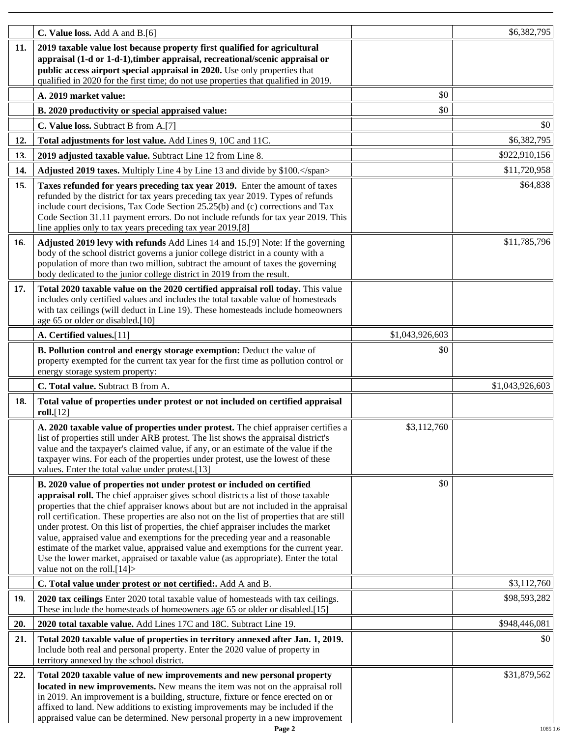|     | C. Value loss. Add A and B.[6]                                                                                                                                                                                                                                                                                                                                                                                                                                                                                                                                                                                                                                                                                                          |                 | \$6,382,795     |
|-----|-----------------------------------------------------------------------------------------------------------------------------------------------------------------------------------------------------------------------------------------------------------------------------------------------------------------------------------------------------------------------------------------------------------------------------------------------------------------------------------------------------------------------------------------------------------------------------------------------------------------------------------------------------------------------------------------------------------------------------------------|-----------------|-----------------|
| 11. | 2019 taxable value lost because property first qualified for agricultural<br>appraisal (1-d or 1-d-1), timber appraisal, recreational/scenic appraisal or<br>public access airport special appraisal in 2020. Use only properties that<br>qualified in 2020 for the first time; do not use properties that qualified in 2019.                                                                                                                                                                                                                                                                                                                                                                                                           |                 |                 |
|     | A. 2019 market value:                                                                                                                                                                                                                                                                                                                                                                                                                                                                                                                                                                                                                                                                                                                   | \$0             |                 |
|     | B. 2020 productivity or special appraised value:                                                                                                                                                                                                                                                                                                                                                                                                                                                                                                                                                                                                                                                                                        | \$0             |                 |
|     | C. Value loss. Subtract B from A.[7]                                                                                                                                                                                                                                                                                                                                                                                                                                                                                                                                                                                                                                                                                                    |                 | \$0             |
| 12. | Total adjustments for lost value. Add Lines 9, 10C and 11C.                                                                                                                                                                                                                                                                                                                                                                                                                                                                                                                                                                                                                                                                             |                 | \$6,382,795     |
| 13. | 2019 adjusted taxable value. Subtract Line 12 from Line 8.                                                                                                                                                                                                                                                                                                                                                                                                                                                                                                                                                                                                                                                                              |                 | \$922,910,156   |
| 14. | Adjusted 2019 taxes. Multiply Line 4 by Line 13 and divide by \$100.                                                                                                                                                                                                                                                                                                                                                                                                                                                                                                                                                                                                                                                                    |                 | \$11,720,958    |
| 15. | Taxes refunded for years preceding tax year 2019. Enter the amount of taxes<br>refunded by the district for tax years preceding tax year 2019. Types of refunds<br>include court decisions, Tax Code Section 25.25(b) and (c) corrections and Tax<br>Code Section 31.11 payment errors. Do not include refunds for tax year 2019. This<br>line applies only to tax years preceding tax year 2019.[8]                                                                                                                                                                                                                                                                                                                                    |                 | \$64,838        |
| 16. | Adjusted 2019 levy with refunds Add Lines 14 and 15.[9] Note: If the governing<br>body of the school district governs a junior college district in a county with a<br>population of more than two million, subtract the amount of taxes the governing<br>body dedicated to the junior college district in 2019 from the result.                                                                                                                                                                                                                                                                                                                                                                                                         |                 | \$11,785,796    |
| 17. | Total 2020 taxable value on the 2020 certified appraisal roll today. This value<br>includes only certified values and includes the total taxable value of homesteads<br>with tax ceilings (will deduct in Line 19). These homesteads include homeowners<br>age 65 or older or disabled.[10]                                                                                                                                                                                                                                                                                                                                                                                                                                             |                 |                 |
|     | A. Certified values.[11]                                                                                                                                                                                                                                                                                                                                                                                                                                                                                                                                                                                                                                                                                                                | \$1,043,926,603 |                 |
|     | B. Pollution control and energy storage exemption: Deduct the value of<br>property exempted for the current tax year for the first time as pollution control or<br>energy storage system property:                                                                                                                                                                                                                                                                                                                                                                                                                                                                                                                                      | \$0             |                 |
|     | C. Total value. Subtract B from A.                                                                                                                                                                                                                                                                                                                                                                                                                                                                                                                                                                                                                                                                                                      |                 | \$1,043,926,603 |
| 18. | Total value of properties under protest or not included on certified appraisal<br>roll.[12]                                                                                                                                                                                                                                                                                                                                                                                                                                                                                                                                                                                                                                             |                 |                 |
|     | A. 2020 taxable value of properties under protest. The chief appraiser certifies a<br>list of properties still under ARB protest. The list shows the appraisal district's<br>value and the taxpayer's claimed value, if any, or an estimate of the value if the<br>taxpayer wins. For each of the properties under protest, use the lowest of these<br>values. Enter the total value under protest.[13]                                                                                                                                                                                                                                                                                                                                 | \$3,112,760     |                 |
|     | B. 2020 value of properties not under protest or included on certified<br>appraisal roll. The chief appraiser gives school districts a list of those taxable<br>properties that the chief appraiser knows about but are not included in the appraisal<br>roll certification. These properties are also not on the list of properties that are still<br>under protest. On this list of properties, the chief appraiser includes the market<br>value, appraised value and exemptions for the preceding year and a reasonable<br>estimate of the market value, appraised value and exemptions for the current year.<br>Use the lower market, appraised or taxable value (as appropriate). Enter the total<br>value not on the roll. $[14]$ | \$0             |                 |
|     | C. Total value under protest or not certified:. Add A and B.                                                                                                                                                                                                                                                                                                                                                                                                                                                                                                                                                                                                                                                                            |                 | \$3,112,760     |
| 19. | 2020 tax ceilings Enter 2020 total taxable value of homesteads with tax ceilings.<br>These include the homesteads of homeowners age 65 or older or disabled.[15]                                                                                                                                                                                                                                                                                                                                                                                                                                                                                                                                                                        |                 | \$98,593,282    |
| 20. | 2020 total taxable value. Add Lines 17C and 18C. Subtract Line 19.                                                                                                                                                                                                                                                                                                                                                                                                                                                                                                                                                                                                                                                                      |                 | \$948,446,081   |
| 21. | Total 2020 taxable value of properties in territory annexed after Jan. 1, 2019.<br>Include both real and personal property. Enter the 2020 value of property in<br>territory annexed by the school district.                                                                                                                                                                                                                                                                                                                                                                                                                                                                                                                            |                 | \$0             |
| 22. | Total 2020 taxable value of new improvements and new personal property<br>located in new improvements. New means the item was not on the appraisal roll<br>in 2019. An improvement is a building, structure, fixture or fence erected on or<br>affixed to land. New additions to existing improvements may be included if the<br>appraised value can be determined. New personal property in a new improvement                                                                                                                                                                                                                                                                                                                          |                 | \$31,879,562    |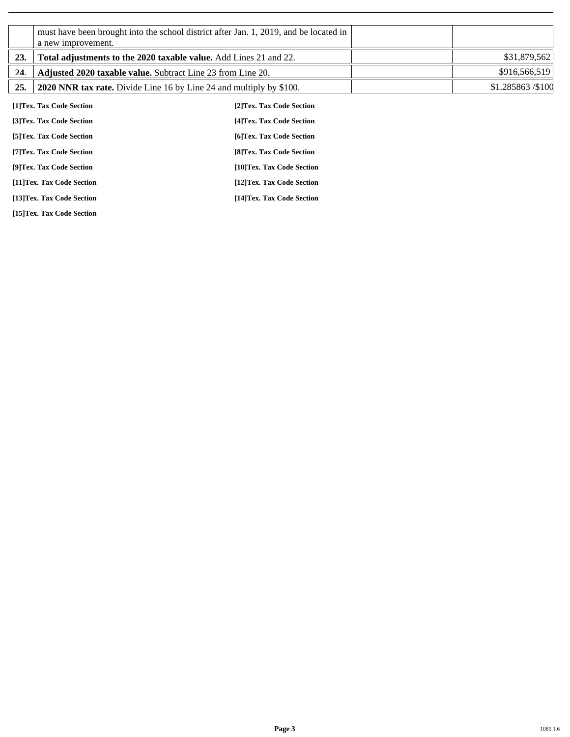|     | a new improvement.                                                  | must have been brought into the school district after Jan. 1, 2019, and be located in |                  |
|-----|---------------------------------------------------------------------|---------------------------------------------------------------------------------------|------------------|
| 23. | Total adjustments to the 2020 taxable value. Add Lines 21 and 22.   |                                                                                       | \$31,879,562     |
| 24. | Adjusted 2020 taxable value. Subtract Line 23 from Line 20.         |                                                                                       | \$916,566,519    |
| 25. | 2020 NNR tax rate. Divide Line 16 by Line 24 and multiply by \$100. |                                                                                       | \$1.285863/\$100 |
|     | [1]Tex. Tax Code Section                                            | [2] Tex. Tax Code Section                                                             |                  |
|     | [3]Tex. Tax Code Section                                            | [4] Tex. Tax Code Section                                                             |                  |
|     | [5] Tex. Tax Code Section                                           | [6]Tex. Tax Code Section                                                              |                  |
|     | [7] Tex. Tax Code Section                                           | [8] Tex. Tax Code Section                                                             |                  |
|     | [9]Tex. Tax Code Section                                            | [10]Tex. Tax Code Section                                                             |                  |
|     | [11]Tex. Tax Code Section                                           | [12] Tex. Tax Code Section                                                            |                  |
|     | [13]Tex. Tax Code Section                                           | [14] Tex. Tax Code Section                                                            |                  |

**[15]Tex. Tax Code Section**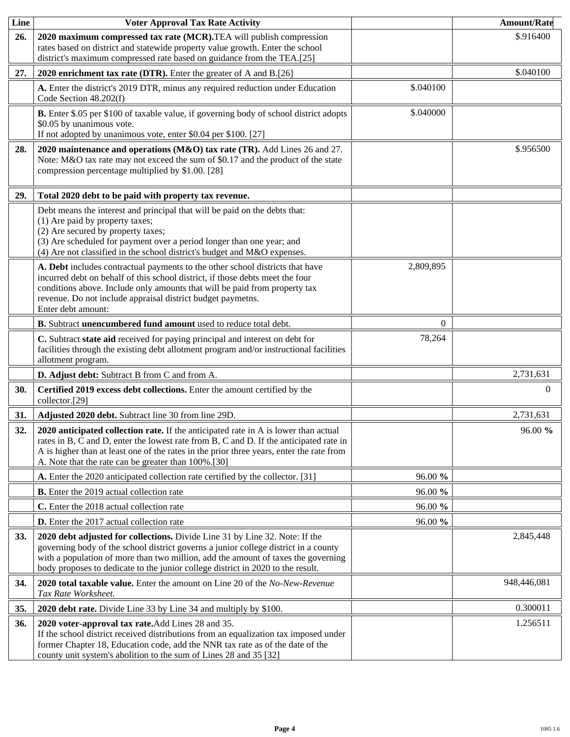| Line       | <b>Voter Approval Tax Rate Activity</b>                                                                                                                                                                                                                                                                                                    |           | <b>Amount/Rate</b> |
|------------|--------------------------------------------------------------------------------------------------------------------------------------------------------------------------------------------------------------------------------------------------------------------------------------------------------------------------------------------|-----------|--------------------|
| 26.        | 2020 maximum compressed tax rate (MCR). TEA will publish compression<br>rates based on district and statewide property value growth. Enter the school<br>district's maximum compressed rate based on guidance from the TEA.[25]                                                                                                            |           | \$.916400          |
| 27.        | 2020 enrichment tax rate (DTR). Enter the greater of A and B.[26]                                                                                                                                                                                                                                                                          |           | \$.040100          |
|            | A. Enter the district's 2019 DTR, minus any required reduction under Education<br>Code Section 48.202(f)                                                                                                                                                                                                                                   | \$.040100 |                    |
|            | B. Enter \$.05 per \$100 of taxable value, if governing body of school district adopts<br>\$0.05 by unanimous vote.<br>If not adopted by unanimous vote, enter \$0.04 per \$100. [27]                                                                                                                                                      | \$.040000 |                    |
| 28.        | 2020 maintenance and operations (M&O) tax rate (TR). Add Lines 26 and 27.<br>Note: M&O tax rate may not exceed the sum of \$0.17 and the product of the state<br>compression percentage multiplied by \$1.00. [28]                                                                                                                         |           | \$.956500          |
| 29.        | Total 2020 debt to be paid with property tax revenue.                                                                                                                                                                                                                                                                                      |           |                    |
|            | Debt means the interest and principal that will be paid on the debts that:<br>(1) Are paid by property taxes;<br>(2) Are secured by property taxes;<br>(3) Are scheduled for payment over a period longer than one year; and<br>(4) Are not classified in the school district's budget and M&O expenses.                                   |           |                    |
|            | A. Debt includes contractual payments to the other school districts that have<br>incurred debt on behalf of this school district, if those debts meet the four<br>conditions above. Include only amounts that will be paid from property tax<br>revenue. Do not include appraisal district budget paymetns.<br>Enter debt amount:          | 2,809,895 |                    |
|            | B. Subtract unencumbered fund amount used to reduce total debt.                                                                                                                                                                                                                                                                            | $\Omega$  |                    |
|            | C. Subtract state aid received for paying principal and interest on debt for<br>facilities through the existing debt allotment program and/or instructional facilities<br>allotment program.                                                                                                                                               | 78,264    |                    |
|            | D. Adjust debt: Subtract B from C and from A.                                                                                                                                                                                                                                                                                              |           | 2,731,631          |
| 30.        | Certified 2019 excess debt collections. Enter the amount certified by the<br>collector.[29]                                                                                                                                                                                                                                                |           | $\Omega$           |
| 31.        | Adjusted 2020 debt. Subtract line 30 from line 29D.                                                                                                                                                                                                                                                                                        |           | 2,731,631          |
| 32.        | 2020 anticipated collection rate. If the anticipated rate in A is lower than actual<br>rates in B, C and D, enter the lowest rate from B, C and D. If the anticipated rate in<br>A is higher than at least one of the rates in the prior three years, enter the rate from<br>A. Note that the rate can be greater than 100%.[30]           |           | 96.00 %            |
|            | A. Enter the 2020 anticipated collection rate certified by the collector. [31]                                                                                                                                                                                                                                                             | 96.00 %   |                    |
|            | <b>B.</b> Enter the 2019 actual collection rate                                                                                                                                                                                                                                                                                            | 96.00 %   |                    |
|            | C. Enter the 2018 actual collection rate                                                                                                                                                                                                                                                                                                   | 96.00 %   |                    |
|            | <b>D.</b> Enter the 2017 actual collection rate                                                                                                                                                                                                                                                                                            | 96.00 %   |                    |
| <b>33.</b> | 2020 debt adjusted for collections. Divide Line 31 by Line 32. Note: If the<br>governing body of the school district governs a junior college district in a county<br>with a population of more than two million, add the amount of taxes the governing<br>body proposes to dedicate to the junior college district in 2020 to the result. |           | 2,845,448          |
| 34.        | 2020 total taxable value. Enter the amount on Line 20 of the No-New-Revenue<br>Tax Rate Worksheet.                                                                                                                                                                                                                                         |           | 948,446,081        |
| 35.        | 2020 debt rate. Divide Line 33 by Line 34 and multiply by \$100.                                                                                                                                                                                                                                                                           |           | 0.300011           |
| 36.        | 2020 voter-approval tax rate. Add Lines 28 and 35.<br>If the school district received distributions from an equalization tax imposed under<br>former Chapter 18, Education code, add the NNR tax rate as of the date of the<br>county unit system's abolition to the sum of Lines 28 and 35 [32]                                           |           | 1.256511           |